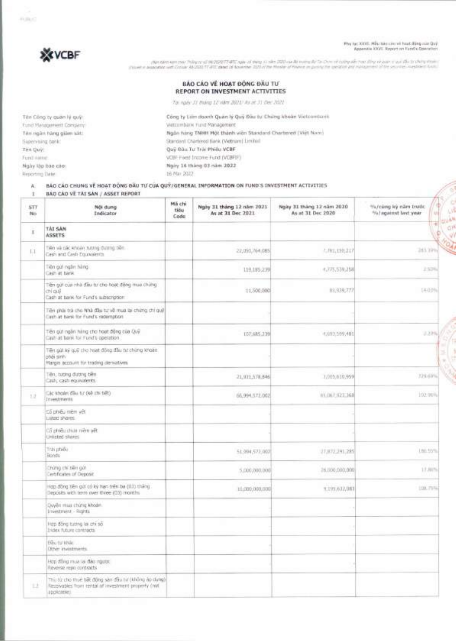Phy lyc XXVII. Mãu bio care ni hoot (Ding oua Quy)<br>Appendix XXVI. Report on Fund's Operation



Ten Cong ty guan IY guy: Fund Management Company: Ten ngan hang giam sat: Supervising bank: Ten QuV: Fund name: Ngay lap bao cao: Reporting Date:

י ייתי קיבל הבלג ה, בי הוכלה עיון ואין ולבקיצה זה יויל ה" לו במבל ב-1945 ה-20 מער 1947 (1978) לאימיאלית את המכונה<br>- ייש לי התפוע שירות שלים יידי מאורים להבית הייש הן הייש לא מיילי שלי מה את המכל 18 באל 17 (1972) לא המכונה

### BAO CAO VE HOAT DÔNG ĐẦU TƯ **REPORT ON INVESTMENT ACTIVITIES**

*T81* ngay 31 thang 12 nOrn 2021/ As at 31 ['sr 2021

Công ty Liên doanh Quan lý Quý Blau tu Chang khoan Vietcombank Vietcombank Fund Management Ngan hang TNHH MOt thanh Wen Standard Chartered (Viet Nam) Standard Chartered Bank (Vietnam) Limited Quy Dau Tu Trai Phieu VCBF VCBF Fixed Income Fund (VCBFIF) Ngiry 16 tháng 03 năm 2022 16 Mar 2022

#### **A.** BA() CAO **CHUNG IA HOAT BONG DAU TUCUA QUI/GENERAL INFORMATION** ON FUND'S INVESTMENT ACTIVITIES

**I BAO CAO V TAI SAN / ASSET REPORT** 

|                  | BAQ CAD VE TAE SAN / ASSET REPORT                                                                                           |                        |                                                |                                                |                                                   |  |
|------------------|-----------------------------------------------------------------------------------------------------------------------------|------------------------|------------------------------------------------|------------------------------------------------|---------------------------------------------------|--|
| <b>STT</b><br>No | Nói dung<br>Indicator                                                                                                       | Mã chi<br>tiêu<br>Code | Ngày 31 tháng 12 năm 2021<br>As at 31 Dec 2021 | Ngày 31 tháng 12 năm 2020<br>As at 31 Dec 2020 | Nu/cúng ký năm trước<br>%/against last year<br>划步 |  |
| x                | TAI SAN<br><b>ASSETS</b>                                                                                                    |                        |                                                |                                                |                                                   |  |
| 1.1              | Tiến và các khoản tutting dutrog tiền.<br>Cash and Cash Equivalents                                                         |                        | 22,050,764,085                                 | 7.781,150,217                                  | 243.70%2                                          |  |
|                  | bin cui regim hàng<br>Cash at bank                                                                                          |                        | 119.185.279                                    | 4,775,539,258                                  | 252%                                              |  |
|                  | Tiền giời của nhà đầu từ cho hoạt động mua chứng<br>chi quy<br>Cash at bank for Fund's subscription                         |                        | 11,500,000                                     | 81,939,777                                     | $1 + 0.0%$                                        |  |
|                  | Tiên phậi trà cho Nhà đầu tư về mua lại chứng chí quý!<br>Cash at bank for Fund's redemption.                               |                        |                                                |                                                |                                                   |  |
|                  | Tiên gưi ngăn hàng cho hoạt động của Quỹ<br>Cash at bank for Fund's operation.                                              |                        | 107.685.239                                    | 4,693,599,485                                  | 2,29%                                             |  |
|                  | Tiên giới ký quỹ cho hoạt động đầu tư chứng khoản.<br>phái sinh<br>Hargin account for trading derivatives                   |                        |                                                |                                                |                                                   |  |
|                  | Tiên, tudng dudng ben.<br>Cash, cash equivalents                                                                            |                        | 21,971,578,846                                 | 1,005,010,959                                  | 329.69%                                           |  |
| 12               | City khoan day or (ke chi bet)<br>Insectments                                                                               |                        | 66.994.572.002                                 | HV. DLT. 023, 368                              | 102,96%                                           |  |
|                  | Co pheu niem yet<br>Listed shares.                                                                                          |                        |                                                |                                                |                                                   |  |
|                  | Co phéu chia nem yét<br>Unfated states                                                                                      |                        |                                                |                                                |                                                   |  |
|                  | Trai phiếu<br>Bonds                                                                                                         |                        | 51,994,572,007                                 | 27,872,241,245                                 | 底势。                                               |  |
|                  | ng nết lới chíng<br>erbficates of Deposit                                                                                   |                        | 5,000,000,000                                  | 26,000,000,000                                 | 17.80%                                            |  |
|                  | rigg. Bông tiên giới có kỳ hạn trên ba (0.1) thàng<br>leposits with terry over three (03) months                            |                        | 10,000,000,000                                 | 9,195,612,081                                  | 108,75%                                           |  |
|                  | Duyên mua chimiz khoản<br>Investment - Rights                                                                               |                        |                                                |                                                |                                                   |  |
|                  | Hợp đồng tương la chi số<br>Index future contracts                                                                          |                        |                                                |                                                |                                                   |  |
|                  | <b>EGU OF KNAC</b><br>Other invisioneris.                                                                                   |                        |                                                |                                                |                                                   |  |
|                  | Hop dong must as day report.<br>Reverse repo contracts                                                                      |                        |                                                |                                                |                                                   |  |
| 12               | Thị từ cho thiết bất động sản đầu từ (không ào dụng)<br>Recoivables from rental of investment property (not<br>applicantes. |                        |                                                |                                                |                                                   |  |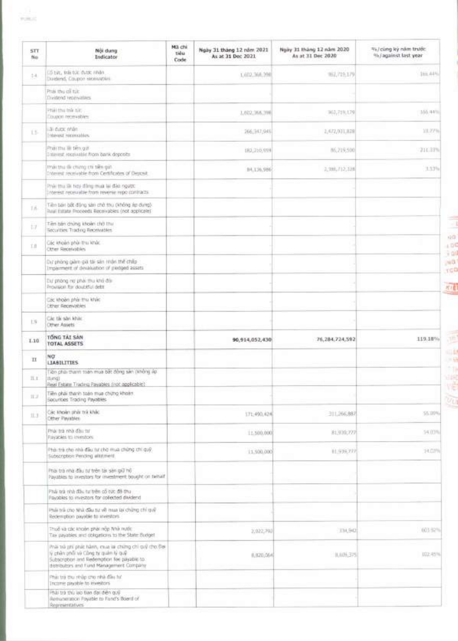| 5TT<br>No   | Nội dung<br><b>Indicator</b>                                                                                                                                                              | Má chi<br>tiou<br>Code | Ngày 31 tháng 12 năm 2021<br>As at 31 Dec 2021 | Ngiry 31 tháng 12 năm 2020<br>As at 31 Dec 2020 | %/cùng kỳ năm trước<br>% / against last year |
|-------------|-------------------------------------------------------------------------------------------------------------------------------------------------------------------------------------------|------------------------|------------------------------------------------|-------------------------------------------------|----------------------------------------------|
| $1 - 1$     | LS tur, trai tur dutit inhan<br>Ductiond, Coupon receivables                                                                                                                              |                        | 1,602,368,398                                  | 892,719,179                                     | 166.44%                                      |
|             | Phái thu cổ túc<br>Dividend reservatives                                                                                                                                                  |                        |                                                |                                                 |                                              |
|             | Phải thu trừ nic<br>TOURIST THY HUSBERY                                                                                                                                                   |                        | 1,602,366,396                                  | 962,719,179                                     | 100.44%                                      |
| 15          | Lãi duce nhân.<br>Interest incovables                                                                                                                                                     |                        | 266,347,04%                                    | 1,472,931,838                                   | 10,77%                                       |
|             | Phairthu illi tiên giới<br>Interest, receivable from bank deposits                                                                                                                        |                        | IR2,210,959                                    | 86,219,500                                      | 211.33%                                      |
|             | that thu rilli ching chi tiến qui.<br>Interest receivable from Certificates of Deposit.                                                                                                   |                        | B4.136.986                                     | 2, 396, 712, 338                                | 3.53%                                        |
|             | Prve thu se high diling must lei dao ngubb.<br>Interest receivable from reverse repo contracts.                                                                                           |                        |                                                |                                                 |                                              |
| 16          | Tiên ban bốt động san chở thu (không lự dung).<br>luul Estate Proceeds Receivables (not applicale)                                                                                        |                        |                                                |                                                 |                                              |
| 17          | Tiên bận chứng khoản chở thư<br>Securities Trading Receivables                                                                                                                            |                        |                                                |                                                 |                                              |
| EB          | Die known phie tru knie.<br>Other Receivables                                                                                                                                             |                        |                                                |                                                 |                                              |
|             | Du phòng giàm già tài săn mận thế chấp<br>Imparment of devaluation of pledged assets                                                                                                      |                        |                                                |                                                 |                                              |
|             | but priong ind phall thu kho do.<br>Provision for doubtful deltt                                                                                                                          |                        |                                                |                                                 |                                              |
|             | Cac khoan pha: thu khiic<br>Other Receivables                                                                                                                                             |                        |                                                |                                                 |                                              |
| 19          | Cite the sales kinke.<br><b>Cenye Assets</b>                                                                                                                                              |                        |                                                |                                                 |                                              |
| 1.10        | TONG TAI SAN<br>TOTAL ASSETS                                                                                                                                                              |                        | 90,914,052,430                                 | 76,284,724,592                                  | 119,18%                                      |
| $_{\rm II}$ | NO.<br>LIABILITIES.                                                                                                                                                                       |                        |                                                |                                                 |                                              |
| 11.1        | iên phải thanh toàn mua bất đồng sản (không áp.<br>thesit<br>Real Estate Trading Payables (not applicable)                                                                                |                        |                                                |                                                 |                                              |
| 北边          | Tiên phải thanh toàn mua chưng khoản.<br>Securities Trading Payables                                                                                                                      |                        |                                                |                                                 |                                              |
| 灶头          | Cac kholm phis tra khác<br>Other Payables                                                                                                                                                 |                        | 571,490,82%                                    | 311,266,887                                     | <b>56.00%</b>                                |
|             | Phái trá nhà đầu tư<br>Payables to investors:                                                                                                                                             |                        | 11,500,000                                     | 81,938,777                                      | 14.03%                                       |
|             | Phải trà cho nhà đầu từ cho mua chứng chỉ quỹ.<br>Subscription Pending allistment.                                                                                                        |                        | 11,500,000                                     | 社会施力院                                           | 14.07%                                       |
|             | Phải trà nhà đầu tự trên tài sản giữ hồ<br>Payables to investors for investment bought on twhilf                                                                                          |                        |                                                |                                                 |                                              |
|             | Phải trà nhà đầu tự trên có tực đã thu<br>Payables to investors for collected dividend                                                                                                    |                        |                                                |                                                 |                                              |
|             | Thật Triề cho Nhà đầu tư về man lài chứng chỉ quỹ<br>Redemption payable to annextors.                                                                                                     |                        |                                                |                                                 |                                              |
|             | Thuế và các khoản phải nộp Nhà mước<br>Tax payables and obligations to the State Budget                                                                                                   |                        | 2,022,793                                      | 336,942                                         | 603 92%                                      |
|             | Phili trò phi phát hành, mus là chimp chi quỹ cho Bei<br>lý phân ghối và Công từ quân lý quố<br>Subscription and Redemption fee payable to:<br>distributors and flund Management Company. |                        | 8,820,064                                      | 8,609,375                                       | 192.45%                                      |
|             | Phát tra thu rinilip cho nhà đầu tư<br>Trictimis playable to investors                                                                                                                    |                        |                                                |                                                 |                                              |
|             | Phili trà thù lao Ban dai diện quỹ<br>Remuneration Poyable to Fund's Board of<br>Representatives                                                                                          |                        |                                                |                                                 |                                              |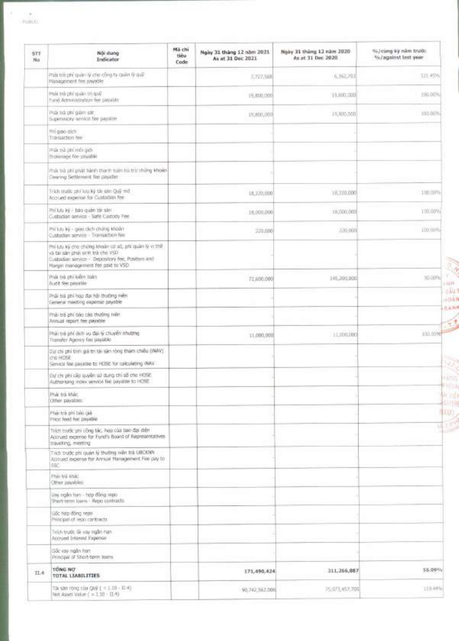$\bar{\tau}$ 

| STT<br>No | Nói dung<br>Indicator                                                                                                                                                             | Má chi<br>tiêu<br>Code | Ngày 31 tháng 12 năm 2021<br>As at 31 Dec 2021 | Ngày 31 tháng 12 năm 2020<br>As at 31 Dec 2020 | %/cùng kỳ năm trước<br>%/against last year |
|-----------|-----------------------------------------------------------------------------------------------------------------------------------------------------------------------------------|------------------------|------------------------------------------------|------------------------------------------------|--------------------------------------------|
|           | Phải trởi phí quân lý cho cộng ty quân lý quố.<br>Hanagement fee payable                                                                                                          |                        | 7,777,568                                      | 6, 162, 793                                    | 121.45%                                    |
|           | With the claim into an alant<br>Fund Administration fee payable                                                                                                                   |                        | 19,800,000                                     | 19.800,000                                     | 2001007%                                   |
|           | má trà phí gan sát<br>Susannacity service fee payable                                                                                                                             |                        | 19,800,0018                                    | 1% BIANDOO                                     | 100.00%                                    |
|           | Phi-giao dich<br>Transaction fee-                                                                                                                                                 |                        |                                                |                                                |                                            |
|           | ibig idml ndi san ikiri<br>tholerage fee payable.                                                                                                                                 |                        |                                                |                                                |                                            |
|           | itsa trà phi phật hành thanh toạn trì trír chứng khoản.<br>Clearing Settlement fire payable:                                                                                      |                        |                                                |                                                |                                            |
|           | Trich trudic phi lutu ký ták sén Quỹ mớ<br>Accrued expense for Custodian fee                                                                                                      |                        | 18,220,000                                     | 16,220,000                                     | 130.00%                                    |
|           | Thi lutu kỳ - bào quân tin sàn<br>Custodian service - Safe Custody Pee                                                                                                            |                        | 18,000,000                                     | 18.000.000                                     | 100.00%                                    |
|           | Phillup ky - gues dich chứng khoản<br>Custoslan service - Tramaschen foie                                                                                                         |                        | 220,000                                        | 220,000                                        | 100.00%                                    |
|           | Phi lưu kỳ cho chứng khoản cơ sở, phi quân lý vị thê<br>và tài sản phái sinh trà cho VSD<br>Custodian service - Depository fee, Position and<br>Hargin management fee pold to VSD |                        |                                                |                                                |                                            |
|           | Ptuli trè phi kiêm tpân<br>Audit fee pavable                                                                                                                                      |                        | 72,600,000                                     | 145,200,000                                    | 50.00%<br>1.1174                           |
|           | Phật trà phi họp đại hội thường mên<br>Ceneral medong copense payable                                                                                                             |                        |                                                |                                                | <b>UAU</b><br>1041                         |
|           | Phái ba phí báo cáo thường mért.<br>Annual report fee payable                                                                                                                     |                        |                                                |                                                | 三头科片                                       |
|           | Phái trá phí dich vụ đại lý chuyển nhường<br>Transfer Agency fee payable                                                                                                          |                        | 11,000,000                                     | 11.100.000                                     | 100.00%                                    |
|           | Dư chi phí tình giá trị tài sân ròng tham chiều ((NAV)<br>(TO HOSE<br>Servical fee payable to HOSE for calculating INAV                                                           |                        |                                                |                                                |                                            |
|           | Dự chi phi cấp quyền sử dụng chỉ số cho HOSE<br>Authorising index service fee payable to HOSE.                                                                                    |                        |                                                |                                                | um.                                        |
|           | Pride typ khác.<br>Other payables                                                                                                                                                 |                        |                                                |                                                | PH 216<br>非正向                              |
|           | Phát trá phí báo giá<br>Phoe feed fee payable                                                                                                                                     |                        |                                                |                                                | (AM)                                       |
|           | Trích trước phi công tác, họp của tan đại diễn<br>Accrued expense for Fund's Board of Representatives<br>traveling, meeting                                                       |                        |                                                |                                                | ERS                                        |
|           | Trịch trước giái quan lý thường mân trà UBCKNN<br>Accrued expense for Annual Management Fee pay to<br>550                                                                         |                        |                                                |                                                |                                            |
|           | Phài trà: Khác<br>Other payables                                                                                                                                                  |                        |                                                |                                                |                                            |
|           | Vay ngân han - hợp đồng repo-<br>Short-term lowrs - Repo contracts                                                                                                                |                        |                                                |                                                |                                            |
|           | Gốc hợp động repo<br>Principal of repo contracts                                                                                                                                  |                        |                                                |                                                |                                            |
|           | Trich truck Gr vay eight han<br>Accrued Interest Expense                                                                                                                          |                        |                                                |                                                |                                            |
|           | Gốc vay ngăn han-<br>Principal of Short-benn keens:                                                                                                                               |                        |                                                |                                                |                                            |
| IL4       | TONG NO<br>TOTAL LIABILITIES                                                                                                                                                      |                        | 171,490,424                                    | 311,266,887                                    | 55.09%                                     |
|           | Tai san rong của Quỹ ( = 1.10 - 11.4)<br>Net Asset Vakin ( = 1.30 - 11.4)                                                                                                         |                        | 90,742,562,006                                 | 25,073,457,7000                                | 110.4456                                   |

 $0.3$ 

*M)/*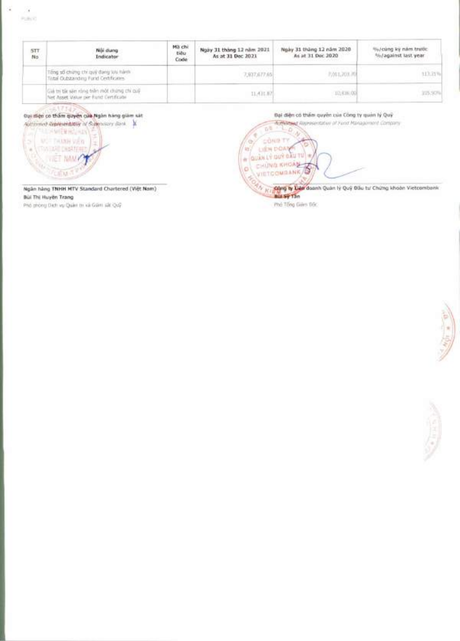|  |  | ٠ |  |
|--|--|---|--|
|  |  |   |  |
|  |  |   |  |
|  |  |   |  |
|  |  |   |  |
|  |  |   |  |
|  |  |   |  |

| STT.<br>No | Noi dung<br>Indicator                                                              | Ma chi<br>tiêu<br>Code | Ngày 31 tháng 12 năm 2021<br>As at 31 Dec 2021 | Ngày 31 tháng 12 năm 2020<br>As at 31 Dec 2020 | %/cung ky nam truttic<br>Shi against last year |
|------------|------------------------------------------------------------------------------------|------------------------|------------------------------------------------|------------------------------------------------|------------------------------------------------|
|            | Tong số chứng chi guy đang lưu hành<br>Total Outstanding Fund Certificates.        |                        | 7,937,677.65                                   | 7,011,703.70                                   | 113.31%                                        |
|            | The iro product Min nint prior new rise of<br>Net Asset Value per Fund Certificate |                        | 11,431.87                                      | 10.636.00                                      | 195.50%                                        |

## Dại tiện có thầm quyền của Ngân hàng giảm sát





Ngân hàng TNHH MTV Standard Chartered (Việt Nam) Bùi Thi Huyền Trang

Phò phòng Dich vụ Quân th và Gián sắt Quỹ



Phá Tổng Giên Đấc



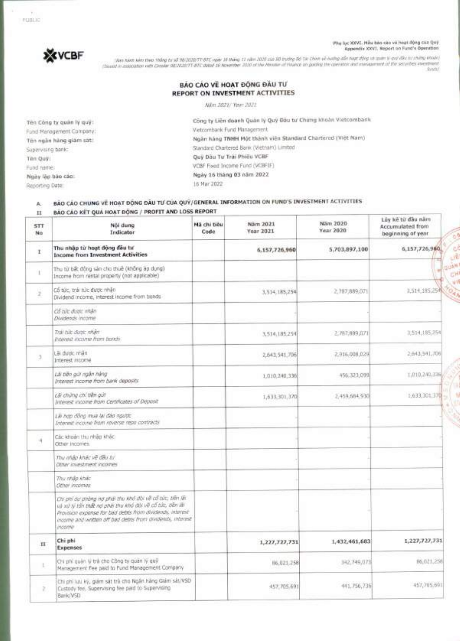**Phu luc XXVI. MAu boo coo ve hoot dOng cue Qui% Appendix XXVI. Report on Fund's Operation** 

003333

**Bearing** 



http://www.kind.thing.to/36/05/07/17-87C.ope/16 Ming.11-NM 2020 call ID triding 8/12 Chan in millig 45/ http://www.texture.org/www.texture.com/article/interaction/article/interaction/article/interaction/article/interaction

### **BAO CAO VE HOAT DONG DAU TUj REPORT ON INVESTMENT ACTIVITIES**

Nam 2021/ Year 2021

**Tên Công ty quân lý quý:** Fund Management Company: **Ten ngan hang giam sat:**  Supervising bank: **Ten Quy:**  Fund name: **Ngay lap ban cat):**  Reporting Date:

**Cong ty Lien doanh Quan ly Qui Dau W Chang khoan Vietcombank**  Vietcombank Fund Management **Ngan hang TNHH Mgt thanh vien Standard Chartered (Viet Nam)**  Standard Chartered Bank (Vietnam) Limited **Quji Oau Tu'Trai Phieu VCBF**  VCBF Fixed Income Fund (VCBFIF) **Ngay 16 thing 03 nam 2022**  16 Mar 2022

## **A. BAO** cAo **CHUNG Ve HOAT BONG** DAU TO **CUA QUWGENEFtAL INFORMATION ON FUND'S INVESTMENT ACTIVITIES**

#### **BÁO CÁO KẾT QUÁ HOẠT ĐỘNG / PROFIT AND LOSS REPORT**  $\rm II$

| А.<br>$_{11}$ | BÃO CÃO CHUNG VE HOAT ĐỘNG ĐẦU TƯ CỦA QUÝ/GENERAL INFORMATION ON FUND'S INVESTMENT ACTIVITIES<br>BÁO CÁO KÉT QUÁ HOAT ĐỘNG / PROFIT AND LOSS REPORT                                                                                                       |                     |                              |                       |                                                            |
|---------------|-----------------------------------------------------------------------------------------------------------------------------------------------------------------------------------------------------------------------------------------------------------|---------------------|------------------------------|-----------------------|------------------------------------------------------------|
| STT<br>No     | Nói dung<br>Indicator                                                                                                                                                                                                                                     | Mã chi tiêu<br>Code | Näm 2021<br><b>Year 2021</b> | Näm 2020<br>Year 2020 | Lũy kẻ từ đầu năm<br>Accumulated from<br>beginning of year |
| $\mathbf I$   | Thu nhập từ hoạt động đầu tư<br><b>Income from Investment Activities</b>                                                                                                                                                                                  |                     | 6.157,726.960                | 5,703,897,100         | 6,157,726,960                                              |
| t.            | Thu từ bất động sản cho thuê (không áp dụng)<br>Income from rental property (not applicable)                                                                                                                                                              |                     |                              |                       |                                                            |
| ÿ             | Cổ tức, trải túc được nhận<br>Dividend income, interest income from bonds                                                                                                                                                                                 |                     | 3,514,185,254                | 2, 287, 889, 071      | 1,514,185,254                                              |
|               | Cổ tức được nhân<br>Dividends income                                                                                                                                                                                                                      |                     |                              |                       |                                                            |
|               | Trái túc duos: nhận<br>Imported: income from bonds                                                                                                                                                                                                        |                     | 3,514,185,254                | 2,787,889,071         | 3,514,185,254                                              |
| 3             | Lãi dước nhân<br>Interest income                                                                                                                                                                                                                          |                     | 2,643,541,706                | 2.916.008.029         | 2.843.341.706                                              |
|               | Lài tiến giới ngân hàng<br>Interest income from bank deposits                                                                                                                                                                                             |                     | 1:010.240,336                | 456.323,099           | 1,010,240,336                                              |
|               | Lài chứng chi tiền gút<br>Interest income from Certificates of Deposit                                                                                                                                                                                    |                     | 1,633,301,370                | 2.459.684.930         | 1.633.301.370                                              |
|               | Lãi hợp đồng mua lại đảo ngược<br>Interest income from noverse repo contracts                                                                                                                                                                             |                     |                              |                       |                                                            |
| 详             | Các khuán thu nhập khác<br>Other incomes.                                                                                                                                                                                                                 |                     |                              |                       |                                                            |
|               | Thu map knec ve day tu<br>Other investment incomes                                                                                                                                                                                                        |                     |                              |                       |                                                            |
|               | Thy mile khile<br>Other incomes                                                                                                                                                                                                                           |                     |                              |                       |                                                            |
|               | Chi phi du phòng ng phái thu khó đội về cổ túc, tiên lãi<br>và xú yì tấn thất nơ phái thu khó đời về cổ cức, tiên lêi<br>Provision expanse for bad debts from dividends, interest<br>income and written off bad debts from dividends, interest<br>inconne |                     |                              |                       |                                                            |
| 11            | Chi phi<br><b>Expenses</b>                                                                                                                                                                                                                                |                     | 1,227,727,731                | 1,432,461,683         | 1,227,727,731                                              |
| E.            | On phi quên lý trá cho Công ty quân lý quỹ<br>Management Fee paid to Fund Management Company                                                                                                                                                              |                     | 16.021.258                   | 342,749,073           | 96,021,258                                                 |
| z             | Chi phi lưu kỳ, giám sát trẻ cho Ngân hàng Giám sát/VSD<br>Custody fee. Supervising fee paid to Supervising<br>Barik/VSD                                                                                                                                  |                     | 457,705,691                  | 441,756,736           | 457,705.691                                                |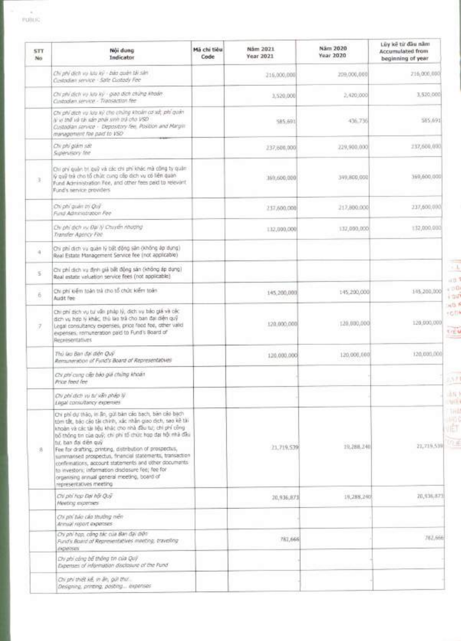| STT.<br>No | Nội dung<br>Indicator                                                                                                                                                                                                                                                                                                                                                                                                                                                                                                                                                                | Mã chi tiêu<br>Code | Näm 2021<br>Year 2021 | Nám 2020<br>Year 2020 | Lũy kế từ đầu năm<br>Accumulated from<br>beginning of year |
|------------|--------------------------------------------------------------------------------------------------------------------------------------------------------------------------------------------------------------------------------------------------------------------------------------------------------------------------------------------------------------------------------------------------------------------------------------------------------------------------------------------------------------------------------------------------------------------------------------|---------------------|-----------------------|-----------------------|------------------------------------------------------------|
|            | Chi phi dich vụ lưu kỳ - bảo quán tải sản<br>Costadian service - Safe Custody Fee                                                                                                                                                                                                                                                                                                                                                                                                                                                                                                    |                     | 216,000,000           | 209,000,000           | 216,006,000                                                |
|            | Chi phi dịch vụ lưu kỳ - giao dịch chứng khoản<br>Custodian service - Transaction fee-                                                                                                                                                                                                                                                                                                                                                                                                                                                                                               |                     | 3,520,000             | 2,420,000             | 3,520,000                                                  |
|            | Chi phí dịch vụ lưu kỳ cho chứng khoản cơ sở, phí quân<br>If yo that was rain pinali sonn tra cho VSD<br>Custaglan service - Depository fee, Position and Margin<br>management fee paid to VSD                                                                                                                                                                                                                                                                                                                                                                                       |                     | 585,691               | 436.736               | 585.691                                                    |
|            | Chi phi glam sat<br>Supervisory fine                                                                                                                                                                                                                                                                                                                                                                                                                                                                                                                                                 |                     | 237,600,000           | 229,900,000           | 237,600,000                                                |
| 蛋          | Chi phí quân trị quỹ và các chi phí khác mà công ty quân<br>lý quỹ trà cho tổ chức cung cấp dịch vụ có liên quân<br>Fund Administration Fee, and other fees paid to relevint<br>Fund's service providers                                                                                                                                                                                                                                                                                                                                                                             |                     | 169.600:000           | 349,800,000           | 369,600,000                                                |
|            | On phi quan tri Qui.<br>Fund Administration Fee                                                                                                                                                                                                                                                                                                                                                                                                                                                                                                                                      |                     | 237,600,000           | 217,880,000           | 237,600,000                                                |
|            | Du phi dich is Dai IV Chuyển nhượng<br>Transfer Agency Fee-                                                                                                                                                                                                                                                                                                                                                                                                                                                                                                                          |                     | 132,000,000           | 137,000,000           | 132,000,000                                                |
| 4          | Chi phí dịch vụ quản lý bất động sản (không áp dụng)<br>Real Estate Management Service fee (not applicable)                                                                                                                                                                                                                                                                                                                                                                                                                                                                          |                     |                       |                       |                                                            |
| s          | Chi phí dịch vụ định giả bất động sản (không áp dụng)<br>Real estate valuation service fees (not applicable)                                                                                                                                                                                                                                                                                                                                                                                                                                                                         |                     |                       |                       |                                                            |
| 6          | Chi phí kiểm toán trà cho tổ chức kiểm toán<br>Audit fee                                                                                                                                                                                                                                                                                                                                                                                                                                                                                                                             |                     | 145,200,000           | 145,200,000           | 145,200,000                                                |
| F.         | Chi phí dịch vụ tư vấn pháp lý, đích vụ báo giá và các<br>dịch vụ hợp lý khác, thù lào trà cho ban đại diện quỹ<br>Legal consultancy expenses, price feed fee, other valid<br>expenses, romuneration paid to Fund's Board of<br>Recresentatives                                                                                                                                                                                                                                                                                                                                      |                     | 120.000.000           | 120,000,000           | 120,000,000                                                |
|            | Thủ làu Ban đại điện Quỹ.<br>Remuneration of Fund's Board of Representatives                                                                                                                                                                                                                                                                                                                                                                                                                                                                                                         |                     | 120,000,000           | 120,000,000           | 120,000,000                                                |
|            | Chi phi cung cấp bào giá chúng khoán<br>Price feed fee                                                                                                                                                                                                                                                                                                                                                                                                                                                                                                                               |                     |                       |                       |                                                            |
|            | Chi phi dich vu tu' van phap ly<br>Lisal consultancy expenses                                                                                                                                                                                                                                                                                                                                                                                                                                                                                                                        |                     |                       |                       |                                                            |
| 音          | Chi phí dự thào, in ân, gửi bản cáo bạch, bản cáo bạch<br>tóm tắt, bào cảo tài chính, xác nhân giao dịch, sao kẻ tài<br>khoản và các tài liệu khác cho nhà đầu tư, chỉ phí công<br>bố thông tin của quỹ; chi phi tổ chức hop đại hội nhà đầu<br>tư, ban đại diễn quy<br>Fee for drafting, printing, distribution of prospectus,<br>summarised prospectus, financial statements, transaction<br>confirmations, account statements and other documents<br>to investors; information disclosure fee; fee for<br>organising annual general meeting, board of<br>representatives meeting. |                     | 21,719,539            | 19,288,240            | 21,719,539                                                 |
|            | Chi phi hop Dai ha Quy<br>Meeting expenses:                                                                                                                                                                                                                                                                                                                                                                                                                                                                                                                                          |                     | 20,936,873            | 19,288,290            | 20,936,873                                                 |
|            | Chi phi bác cáp thường niên<br>Annual report expenses                                                                                                                                                                                                                                                                                                                                                                                                                                                                                                                                |                     |                       |                       |                                                            |
|            | Chi phi hạp, công tác của Ban đại thên<br>Fund's Board of Representatives manting, travelling<br><b>BURGES</b>                                                                                                                                                                                                                                                                                                                                                                                                                                                                       |                     | 782,666               |                       | 702,666                                                    |
|            | Chi phi công bố thông tin của Quỹ<br>Expenses of information disclosure of the Fund-                                                                                                                                                                                                                                                                                                                                                                                                                                                                                                 |                     |                       |                       |                                                            |
|            | Chi phi thiệt kế, in ấn, gọi thư<br>Designing, printing, posting experises                                                                                                                                                                                                                                                                                                                                                                                                                                                                                                           |                     |                       |                       |                                                            |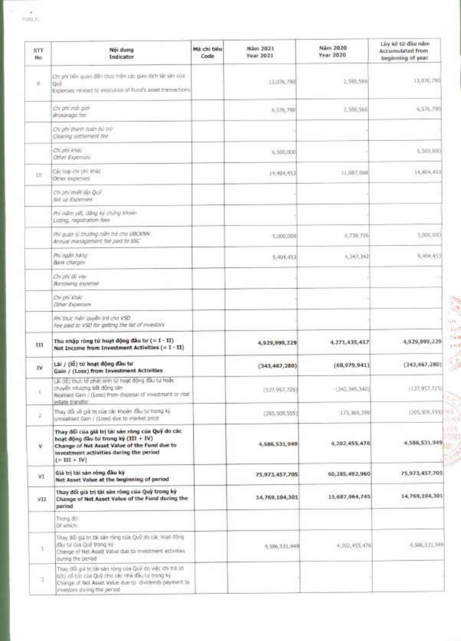×

| <b>STT</b><br>No | Not dung<br>Indicator                                                                                                                                                                                       | Mã chi tiêu<br>Code | Näm 2021<br>Year 2021 | Näm 2020<br>Year 2020 | Lüy kê bi dâu năm<br><b>Accumulated from</b><br>beginning of year |
|------------------|-------------------------------------------------------------------------------------------------------------------------------------------------------------------------------------------------------------|---------------------|-----------------------|-----------------------|-------------------------------------------------------------------|
| 9.               | Chi phi liên quan đần thực hiện các giao dịch tài sản của<br>Quỹ<br>Expenses related to exacution of Fund's asset transactions                                                                              |                     | 13.076,790            | 2,580,566             | 13,070,790                                                        |
|                  | Chi phi mái giali<br>Brokerage fee                                                                                                                                                                          |                     | 5,576,790             | 2.588,566             | 5,576,790                                                         |
|                  | Civ phi thanh toán bù trừ<br>Clearing settlement for                                                                                                                                                        |                     |                       |                       |                                                                   |
|                  | Chi phi khác.<br><b>Citier Expenses</b>                                                                                                                                                                     |                     | 6,500,000             |                       | 6,500,000                                                         |
| 世                | Các loai chi chi khác<br>Other expenses                                                                                                                                                                     |                     | 14, 404, 453          | 11,087,068            | 14, 404, 453                                                      |
|                  | Chi phi thiệt lập Quỹ<br><b>Set up Expenses</b>                                                                                                                                                             |                     |                       |                       |                                                                   |
|                  | Prú milim yết, điểng ký chứng khoán<br>Listing, registration fees                                                                                                                                           |                     |                       |                       |                                                                   |
|                  | Phi quân lý thượng niên trả cho UBCKNW<br>Annual management fee paid to SSC                                                                                                                                 |                     | 5,000,000             | 6.739,736             | 5,000,000                                                         |
|                  | Phi ngări háng<br>Bank charges                                                                                                                                                                              |                     | 9,404,453             | 4,147,342             | 9,404.453                                                         |
|                  | Chi phi lãi vay<br>Borrowing expertse                                                                                                                                                                       |                     |                       |                       |                                                                   |
|                  | ON phi khác<br><b>Other Expenses</b>                                                                                                                                                                        |                     |                       |                       |                                                                   |
|                  | Phi thuc hiện quyền trả cho VSD<br>Fee paid to VSD for getting the list of investors'                                                                                                                       |                     |                       |                       |                                                                   |
| Ш                | Thu nhập ròng từ hoạt động đầu tư (= 1 - 11)<br>Net Income from Investment Activities (= 1 - 11)                                                                                                            |                     | 4,929,999,229         | 4,271,435,417         | 4,929,999,229                                                     |
| <b>TV</b>        | Lái / (lỗ) từ hoạt động đầu tư<br>Gain / (Loss) from Investment Activities                                                                                                                                  |                     | (343, 467, 280)       | (68, 979, 941)        | (343, 467, 280)                                                   |
| x.               | Lãi (lồ) thực tế phát sinh từ hoạt động đầu tư hoặc<br>chuyển nhượng bất động sản<br>Realised Gain / (Loss) from disposal of investment or roal<br>estate transfer.                                         |                     | (137, 957, 725)       | (242, 345, 340)       | (137, 957, 725)                                                   |
| ž.               | Thay đổi về giả trị của các khoản đầu tư trong kỳ<br>Unrealised Gain / (Loss) due to market price                                                                                                           |                     | (205, 509, 555)       | 173, 365, 399         | (305,509,555) (11)                                                |
| v                | Thay đối của giả trị tài sản ròng của Quỹ do các<br>hoạt động đầu tư trong kỳ (III + IV)<br>Change of Net Asset Value of the Fund due to<br>investment activities during the period<br>$( = \Pi I + \Pi V)$ |                     | 4,586,531,949         | 4,202,455,476         | 4,586,531,949                                                     |
| VI               | Già trị tài sản ròng đầu kỳ<br>Net Asset Value at the beginning of period                                                                                                                                   |                     | 75,973,457,705        | 60,285,492,960        | 75,973,457,705                                                    |
| VII              | Thay đối giá trị tài sản ròng của Quỹ trong kỳ<br>Change of Net Asset Value of the Fund during the<br>period                                                                                                |                     | 14,769,104,301        | 15,687,964,745        | 14,769,104,301                                                    |
|                  | Trong dó:<br>Of which:                                                                                                                                                                                      |                     |                       |                       |                                                                   |
| H.               | Thay đổi giá trị tái sán ròng của Quỹ do các hoạt động<br>day tu' oja Quy trong xy<br>Change of Net Asset Value due to investment activities<br>during the period                                           |                     | 4.586,531.949         | 4,202,455,476         | 4.586,531,949                                                     |
| 22               | Thay đổi giá trị tài sán róng của Quỹ do việc chi trà lưi<br>tức/ cổ tức của Quỹ cho các nhà đầu tư tròng kỳ<br>Change of Net Asset Value due to dividends payment to<br>investors during the period        |                     |                       |                       |                                                                   |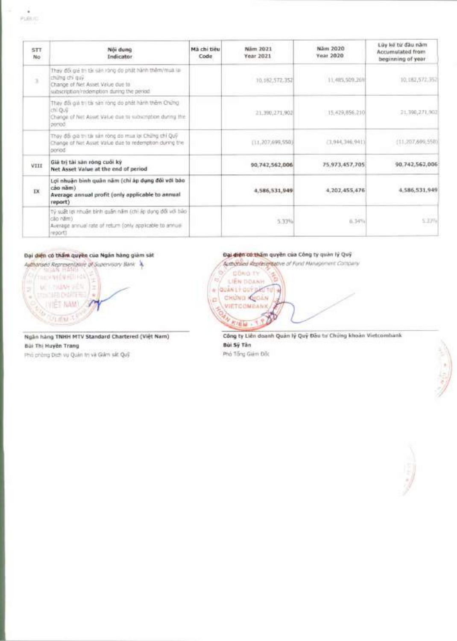| <b>STT</b><br>No                                                                                                                                                       | Női dung<br>Indicator                                                                                                                                      | Má chi tiêu<br>Code | Näm 2021<br><b>Year 2021</b> | Näm 2020<br><b>Year 2020</b> | Lüy kê từ đầu năm<br>Accumulated from<br>beginning of year. |
|------------------------------------------------------------------------------------------------------------------------------------------------------------------------|------------------------------------------------------------------------------------------------------------------------------------------------------------|---------------------|------------------------------|------------------------------|-------------------------------------------------------------|
| $\mathcal{L}_{\mathcal{A}}^{\mathcal{A}}(\mathcal{A})=\mathcal{L}_{\mathcal{A}}^{\mathcal{A}}(\mathcal{A})\otimes\mathcal{L}_{\mathcal{A}}^{\mathcal{A}}(\mathcal{A})$ | They đổi giá trị tài sán rộng do phật hành thêm/mus ia<br>chứng chi quý:<br>Change of Net Asset Value due to<br>subscription/redemption during the period. |                     | 10.182,572.352               | 11,485,509,765               | 10,182,572,352                                              |
|                                                                                                                                                                        | Thay do go tri tal san rong do phát hanh them Chung<br>chi Quy<br>Change of Net Asset Value due to subscription during the<br>period                       |                     | 21.390,271,902               | 15, 429, 856, 210            | 21,390,271,903                                              |
|                                                                                                                                                                        | Thay đổi gia thị tái sản công do mua lại Chứng chỉ Quỹ<br>Change of Net Asset Value due to redemption during the<br>beriod                                 |                     | (11, 207, 699, 550)          | (3.944, 346, 941)            | (11, 207, 699, 550)                                         |
| VIII                                                                                                                                                                   | Giá trị tài sản ròng cuôi kỳ<br>Net Asset Value at the end of period                                                                                       |                     | 90,742,562,006               | 75,973,457,705               | 90.742.562,006                                              |
| $\overline{\mathbf{R}}$                                                                                                                                                | Lợi nhuận binh quân năm (chỉ àp dụng đối với báo<br>cão năm)<br>Average annual profit (only applicable to annual<br>report)                                |                     | 4.586.531.949                | 4,202,455,476                | 4,586,531,949                                               |
|                                                                                                                                                                        | Tỷ suất lợi nhuận bình quân năm (chi áp dựng đối với bào<br>cão nămi<br>Average annual rate of return (only applicable to annual<br>report)                |                     | mse<br>5.33%                 | -399<br>n.34%                | 5.37%                                                       |

## Đại diện có thầm quyền của Ngân hàng giảm sát



Ngân hang TNHH MTV Standard Chartered (Việt Nam) Bùi Thị Huyền Trang

Phù chòng Dịch vụ Quân trị và Giên sắt Quỹ

### Đại diện có thầm quyền của Công ty quản lý Quỹ

Authorised Replace Latine of Fund Management Company



Công ty Liên doanh Quán lý Quý Đầu tư Chứng khoản Vietcombank Bùi Sỹ Tân

Phả Tổng Giám Độc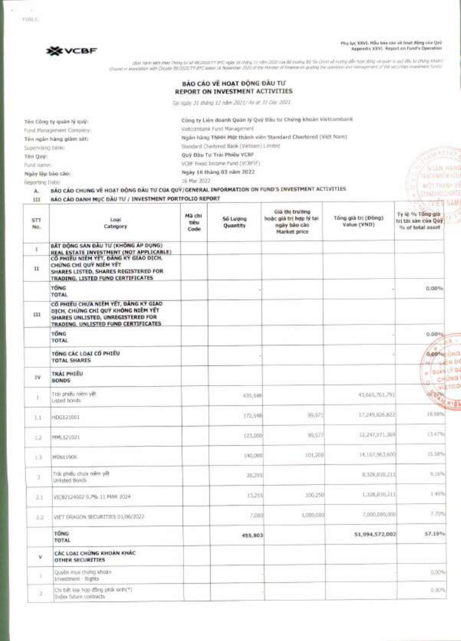Phu luc XXVI. Mau hao cho vit hout **Bong** cua Quy Appendix XXVI. Report on Fund's Operation

> с влам ними **Visio-Wille (0)** ALCT THANK YO **COMMODABIE**



יוארי שיטים של את אחריות של מונח את ממונים או ימים הם יש שלשל של הוא זו ממוקד קומים והמונים מונח ממונים ואת ממ<br>יומים השילוויות יומרים יולדי דייות המונים היא המונים ממונים המונים מונים מונים המונים במונים במונים מונים המונ

|                          | BẢO CÁO VỀ HOẠT ĐỒNG ĐẦU TƯ<br>REPORT ON INVESTMENT ACTIVITIES |
|--------------------------|----------------------------------------------------------------|
|                          | Tại ngày 31 tháng 12 năm 2021/ As at 31 Dec 2021               |
| Tên Công ty quân lý quỹ: | Còng ty Liên doarth Quán lý Quý Đầu tư Chứng khoản Vietcombank |
| Fund Management Company: | Victoombank Fund Management                                    |
| Tên ngân hàng giảm sát:  | Ngân hàng TNHH Một thành viên Standard Chartered (Việt Nam)    |
| Supervising panks-       | Standard Chartered Bank (Vietnam) Limited                      |
| Tên Quy:                 | Quy Dau Tu Trai Phiêu VCBF                                     |

**Ten Quy:** Fund name: VCBF Fixed Income Fund (VCBFIF)

**Ngày 16 thàng 03 năm 2022**<br> **Ngày 16 thàng 03 năm 2022**<br> **Departme Dife:** Nat 2022

Reporting Date: 16 Mar 2022

**A.** BA() cAo **CHUNG lit HOAT DOG DAU TUCUA QUY/GENERAL INFORMATION ON FUND'S INVESTMENT ACTIVITIES** 

## **ELI BÁO CÁO DANH MUC DÃU TƯ / INVESTMENT PORTFOLIO REPORT**

| HI                | BAO CAO DANH MUC DAU TU / INVESTMENT PORTFOLIO REPORT<br>NAM.                                                                                          |                         |                      |                                                                           |                                    |                                                                      |  |  |
|-------------------|--------------------------------------------------------------------------------------------------------------------------------------------------------|-------------------------|----------------------|---------------------------------------------------------------------------|------------------------------------|----------------------------------------------------------------------|--|--|
| <b>STT</b><br>No. | Loari<br>Category                                                                                                                                      | Mã chi<br>tiêu<br>Code. | Số Lượng<br>Quantity | Già thi trường<br>hoặc giá trị hợp lý tại<br>ngày bảo cáo<br>Market price | Tông già trị (Đông)<br>Value (VND) | Vitel<br>Ty lè % Tông già<br>tri thi san cua Quy<br>% of total asset |  |  |
| 1<br>$\mathbf{H}$ | BẤT ĐỘNG SẢN ĐẦU TƯ (KHÔNG ÁP DỤNG)<br>REAL ESTATE INVESTMENT (NOT APPLICABLE)<br>CO PHIEU NIEM YET, DANG KY GIAO DICH.<br>CHỨNG CHÍ QUÝ NIÊM YẾT      |                         |                      |                                                                           |                                    |                                                                      |  |  |
|                   | SHARES LISTED, SHARES REGISTERED FOR<br>TRADING, LISTED FUND CERTIFICATES                                                                              |                         |                      |                                                                           |                                    |                                                                      |  |  |
|                   | <b>TONG</b><br>TOTAL                                                                                                                                   |                         |                      |                                                                           |                                    | 0.00%                                                                |  |  |
| ш                 | CO PHIEU CHUA NIEM YET, DANG KY GIAO<br>DICH, CHÚNG CHÍ QUÝ KHÔNG NIÊM YẾT<br>SHARES UNLISTED, UNREGISTERED FOR<br>TRADING, UNLISTED FUND CERTIFICATES |                         |                      |                                                                           |                                    |                                                                      |  |  |
|                   | TONG<br>TOTAL                                                                                                                                          |                         |                      |                                                                           |                                    | 0.00%                                                                |  |  |
|                   | TONG CAC LOAI CO PHIEU<br>TOTAL SHARES                                                                                                                 |                         |                      |                                                                           |                                    | <b>Quoone CINO</b><br>LEN DO                                         |  |  |
| IV.               | TRAI PHIEU<br><b>BONDS</b>                                                                                                                             |                         |                      |                                                                           |                                    | $+ 1944417806$<br>CHUNG                                              |  |  |
| 11                | Trái phiếu niêm yết<br>usted bonds                                                                                                                     |                         | 435,548              |                                                                           | 43.665,761.791                     | VIETCO<br>REDEN                                                      |  |  |
| 1.1               | HDG1210U1                                                                                                                                              |                         | 172,548              | 99,975                                                                    | 17.249.026.822                     | 18.68%                                                               |  |  |
| 12                | MML121021                                                                                                                                              |                         | 123,000              | 99,577                                                                    | 12.247.971.369                     | 13,47%                                                               |  |  |
| 13                | MSNL190E                                                                                                                                               |                         | 140,000              | 101,200                                                                   | 14.157.963,600                     | 15.58%                                                               |  |  |
| 2                 | Trái phiếu chưa niềm yết<br>Unisted Bonds                                                                                                              |                         | 30,255               |                                                                           | 8,329,910,211                      | 4.169%                                                               |  |  |
| 2.1               | VICB2124002 9.2% 11 MAR 2024                                                                                                                           |                         | 13,255               | 100,250                                                                   | 1.338,810,211                      | 14份。                                                                 |  |  |
| 2.2               | VIET DRAGON SECURITIES 01/06/2022                                                                                                                      |                         | 7,000                | 1,000,000                                                                 | 7,000,000,000                      | 3,70%                                                                |  |  |
|                   | <b>TONG</b><br>TOTAL                                                                                                                                   |                         | 455,803              |                                                                           | 51,994,572,002                     | 57.19%                                                               |  |  |
| o<br>v            | CAC LOAT CHUNG KHOAN KHAC<br><b>OTHER SECURITIES</b>                                                                                                   |                         |                      |                                                                           |                                    |                                                                      |  |  |
| x                 | Quyền Irrual chứng khoản<br>Investment - Rights                                                                                                        |                         |                      |                                                                           |                                    | 0.00%                                                                |  |  |
| ä,                | Chi thết kho quốc quốc sau sản chi<br>Index future contracts                                                                                           |                         |                      |                                                                           |                                    | $(1.00\%)$                                                           |  |  |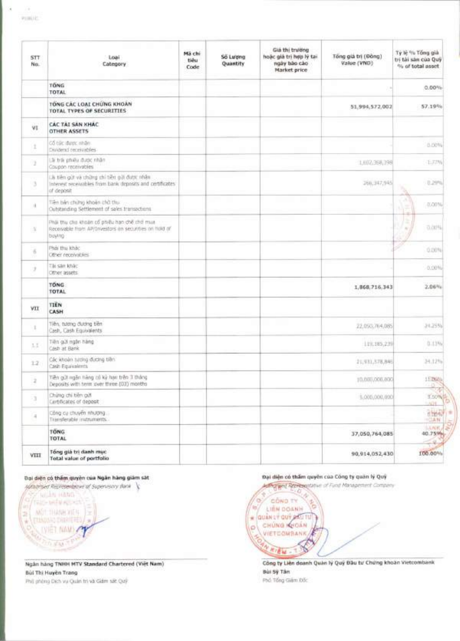G,

| STT-<br>No.      | Loai<br>Category                                                                                                        | Mä chi<br>tiéu<br>Code | So Luong<br>Quantity | Già thi trường<br>hoặc giá trị hợp lý tai<br>ngày bào cào<br>Market price | Tổng giả trị (Đồng)<br>Value (VND) | Tỷ lệ % Tổng giả<br>trí tài san của Quỹ<br>9% of total asset |
|------------------|-------------------------------------------------------------------------------------------------------------------------|------------------------|----------------------|---------------------------------------------------------------------------|------------------------------------|--------------------------------------------------------------|
|                  | TONG<br>TOTAL                                                                                                           |                        |                      |                                                                           |                                    | 0.00%                                                        |
|                  | TONG CAC LOAI CHUNG KHOAN<br>TOTAL TYPES OF SECURITIES                                                                  |                        |                      |                                                                           | 51,994,572,002                     | 57.19%                                                       |
| VI.              | CAC TAI SAN KHAC<br><b>OTHER ASSETS</b>                                                                                 |                        |                      |                                                                           |                                    |                                                              |
| 2                | Cổ tức được nhân.<br>Childeric receividies                                                                              |                        |                      |                                                                           |                                    | 0.00%                                                        |
| п                | Là trái phiêu được nhân<br>Coupon receivables                                                                           |                        |                      |                                                                           | 1,002,368,398                      | 1.77%                                                        |
| a                | Là tiên giớt và chững chỉ tiên giời được nhân<br>Interest receivables from bank deposits and certificates<br>of deposit |                        |                      |                                                                           | 366,347,945                        | 0,29%                                                        |
| $\alpha$         | Tiên bản chứng khoản chủ thu:<br>Outstanding Settlement of sales transactions.                                          |                        |                      |                                                                           |                                    | 0.00%                                                        |
| ÷                | Phật thu cho khoản cổ phiếu hạn chế chở mua<br>Reconvable from AP/Investors on securities on hold of<br>buying          |                        |                      |                                                                           |                                    | 造成性                                                          |
| $\tilde{\alpha}$ | Phái thu khác<br>Other receivables                                                                                      |                        |                      |                                                                           |                                    | 0.00%                                                        |
| ÷                | Tài san khác<br>Other assets                                                                                            |                        |                      |                                                                           |                                    | 0.00%                                                        |
|                  | TONG.<br>TOTAL                                                                                                          |                        |                      |                                                                           | 1,868,716.343                      | $2.06\%$                                                     |
| VII              | <b>TIEN</b><br>CASH                                                                                                     |                        |                      |                                                                           |                                    |                                                              |
|                  | Tiền, tương đương tiền<br>Cash, Cash Equivalents                                                                        |                        |                      |                                                                           | 22,050,764,085                     | 24.25%                                                       |
| 1.1              | Tiên giới ngôn hàng<br>Cliedh at Rank                                                                                   |                        |                      |                                                                           | 119, 185, 239                      | 0.13%                                                        |
| 12               | Các khoản tương đương tiên<br>Cash Equivalents                                                                          |                        |                      |                                                                           | 21,931,578,846                     | 34.12%                                                       |
| 2                | Tiền giá ngân hàng có kỳ han trên 3 tháng<br>Deposits with term over three (03) months                                  |                        |                      |                                                                           | 10,000,000,000                     | 157800                                                       |
| a                | Chứng chi tiên giới<br>Cerbficates of deposit                                                                           |                        |                      |                                                                           | 5,000,000,000                      | $\hat{\mathcal{P}}$<br>3,50%<br>5404                         |
| $\bar{a}$        | Công cụ chuyển nhượng.<br>Transferable instruments.                                                                     |                        |                      |                                                                           |                                    | 油料<br><b>HOAN</b>                                            |
|                  | TONG<br>TOTAL                                                                                                           |                        |                      |                                                                           | 37,050,764,085                     | <b>LANCIC</b><br>40.75%<br>$-2$                              |
| VIII             | Tổng giá trị danh mục<br>Total value of portfolio                                                                       |                        |                      |                                                                           | 90,914,052,430                     | 100.00%                                                      |

## Dai diện có th**ám quy**ện của Ngân hàng giảm sát

Authorised Representative of Supervisory Bank

**Willen Harris GIG-MENALISH** MOT. THANH 20EN × **ELIMINAS DARIERES** IVET NAME **COUNTY** 

**Ngan hang TNHH MTV Standard Chartered (Viet Nam) Bùi Thi Huyền Trang** Phil pháng Dich vụ Quân trì và Giám sát Quỹ

#### Oai **dign co tham quyen cua Gang ty quan ly Quit**

(ewe of Fund Management Company coNo T. y .1, c).4' è Ġ, tis. **LIEN DOANH**  OWAN LY OUY **PALITU** CHUNG KYCAN **CHONG CAN VIETCOMBANK KIEW** 

Công ty Liên doanh Quan lý Quỹ Đầu từ Chứng khoản Vietcombank **Bin Sy Tan**  Pho -Ring Giam **Dgc**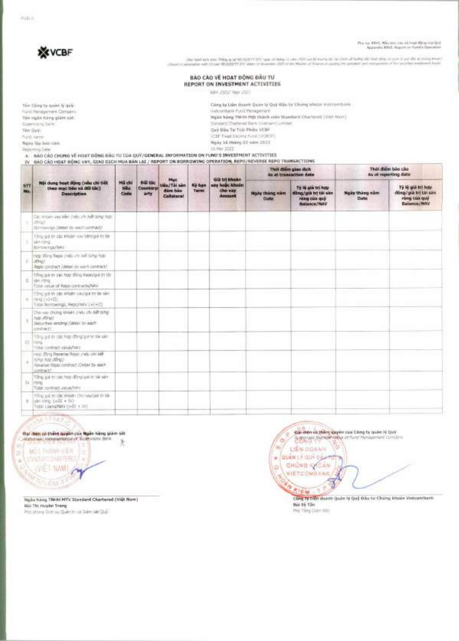PUBLIC



the late airs are Thing and Michigan Profit car in limit 17 shall be only as a subscribed and said the only one on the profit in the profit of the state of finance access of special contents in the second for several best

#### BẢO CÁO VỀ HOẠT ĐỘNG ĐẦU TƯ REPORT ON INVESTMENT ACTIVITIES

Wen 2021? Year 2021

| Two Clinta by quare by auto-<br>Pural Management, Darrighty,<br>Ter resin have glam ast                                                                                                                               | Cong by Liam dearth Quan by Quy Bão by Chimo whoch vintcombakis<br>Vietcombank Punit Wanagement<br>Ngàn hàng TNHH Mới thành viên Standard Charleret (1981 Nam) |
|-----------------------------------------------------------------------------------------------------------------------------------------------------------------------------------------------------------------------|----------------------------------------------------------------------------------------------------------------------------------------------------------------|
| To perform in Sanks                                                                                                                                                                                                   | Statistical Checkment Bank (Watchend Limited).                                                                                                                 |
| Ten Gey:                                                                                                                                                                                                              | Dev Das Tu Trai Philip VCBF                                                                                                                                    |
| Punt varies                                                                                                                                                                                                           | VCBF flead breams fund (VCBFJF)                                                                                                                                |
| Naire lite bot circ.                                                                                                                                                                                                  | Ngày 16 tháng 01 năm 2022                                                                                                                                      |
| Reporting Date:                                                                                                                                                                                                       | 16 May 2022                                                                                                                                                    |
| A :: BAO CAO CHUNG VÊ HOAT DÔNG GÂU TƯ CỦA QUY/GENERAL INFORMATION ON FUND'S INVESTMENT ACTIVITIES<br>TV 8AO CAO HOAT GÓNG VAY, GIAO DICH MUA BAN LAI / REPORT ON BORROWING OPERATION. REPO/REVERSE REPO TRANSACTIONS |                                                                                                                                                                |
|                                                                                                                                                                                                                       | A STATE AND A PARTITION OF A STATE OF                                                                                                                          |

|          | Mội dung hoạt động (nều chi tiết<br>theo muc tiêu và đối tắc)<br><b>Description</b>                               | Muc<br><b>Boil the</b><br><b>Mã chi</b><br>tions:<br><b>Counterp</b><br>dam bao<br>arty<br>Code<br>Collaboral |                |                       |                                             | Già tri khoàn                     |                                                                                     | This diam giao dich<br>As at transaction date | That digm bao cao<br>As at reporting date                                |  |
|----------|-------------------------------------------------------------------------------------------------------------------|---------------------------------------------------------------------------------------------------------------|----------------|-----------------------|---------------------------------------------|-----------------------------------|-------------------------------------------------------------------------------------|-----------------------------------------------|--------------------------------------------------------------------------|--|
| 5T<br>No |                                                                                                                   |                                                                                                               | tiêu / Tài sán | Ky han<br><b>Term</b> | vay hoặc khoản<br>che vay<br><b>Arnount</b> | Notry thing silm.<br><b>Custe</b> | Ty is gia tri hop-<br>diling/gilk tri tái sán<br>rong cua quý<br><b>Balance/NAV</b> | Now thing nim<br>Date                         | TV FE giá tri bop<br>döng/già tri tài san<br>ròng của quý<br>Balance/MAV |  |
|          | Did shown you'relier (they one auth hims him-<br>about<br>Burnings SWEET IN ANTI-GMPACE                           |                                                                                                               |                |                       |                                             |                                   |                                                                                     |                                               |                                                                          |  |
|          | Tiông già th' các khoán xay tiênggia tri tái<br>with mong<br>Berewings/NAV                                        |                                                                                                               |                |                       |                                             |                                   |                                                                                     |                                               |                                                                          |  |
| ÷        | Hop dong Reps (mile on Juli 1202 Apr)<br>(athiel)<br>Regio continuit (UMW) for warrh contract/-                   |                                                                                                               |                |                       |                                             |                                   |                                                                                     |                                               |                                                                          |  |
|          | Tiong gui to sac hop dong Kapa/gui to till<br>II jakkiröng<br>Total value of Repo contracts/WW                    |                                                                                                               |                |                       |                                             |                                   |                                                                                     |                                               |                                                                          |  |
|          | TOYO US thi car khoan vavilus thi tai sain.<br>Wend (wiled)<br>Total storowings, Reportativ [ #E+10]              |                                                                                                               |                |                       |                                             |                                   |                                                                                     |                                               |                                                                          |  |
|          | Dho yay chain yinkin yinki yay yay cirt<br>hair dikeli-<br>Securities lending (With In/AMP)<br>(contract)         |                                                                                                               |                |                       |                                             |                                   |                                                                                     |                                               |                                                                          |  |
|          | Filing gut the star from other grant for the sale.<br>III. liting<br>Information database raised                  |                                                                                                               |                |                       |                                             |                                   |                                                                                     |                                               |                                                                          |  |
|          | Hot: (Drig Reverse Rissio (me); chr bift<br>time hop athol.<br>Ileverse Reals contract (Detail by each<br>LOHDAY. |                                                                                                               |                |                       |                                             |                                   |                                                                                     |                                               |                                                                          |  |
|          | Tông giá to các họp đồng giá trì tát sáir<br>In integ.<br>Total contract value/Mrs                                |                                                                                                               |                |                       |                                             |                                   |                                                                                     |                                               |                                                                          |  |
|          | 10 to just to dig khoan cho wwigia to tak<br>$= 100,000,000,000$<br>Total Luans/NMr (+III + IV).                  |                                                                                                               |                |                       |                                             |                                   |                                                                                     |                                               |                                                                          |  |
|          |                                                                                                                   |                                                                                                               |                |                       |                                             |                                   |                                                                                     |                                               |                                                                          |  |

**MARTINEZ** 

the date of them question as Holm hang gian sitt.<br>Hammed American final Sciences Bax

MOT THANK VIEN

**PANIER SHIRTHES!** ×

WET NAME OF

**Marine Synderman of fund N** G  $\mathfrak{m}'$ LIÊN DOANN - QUÂN LÝ QUÝ CÁN **VIETCOMEANK** T Q **ATEM** ٩ Cong to tien down Qubs IV Qui Dau tu Chiny khoin Vietzenham.

Cal dren on thing super cas Cong by quiet by Quiz

**CALL O** 

Ngãn hàng TNHH MTV Standard Chartered (Việt Nam) **Húi Thị Huyền Trang** Phó phòng Dolt và Quên trị và Diện sát Quỹ

**Bút 55 Tân** Highling Gam (0):

Q.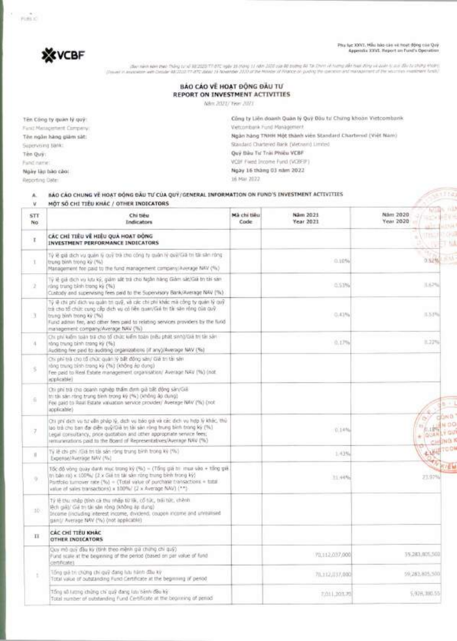Phy fac XXVI, Mẫu hào cáo về hoạt động của Quỹ<br>Appendix XXVI, Report an Fund's Operation



(Service Man they brid 382020 There by Hi Man 11 AM) (SSI Jua 88 to the Star) of turns aft hus they is auto it as this to they elsen.<br>(Down in an over the Start Man 19 to the Hill of the Man 10 and the Minds of Phace or pu

| BAO CAO VE HOAT DONG DAU TU     |
|---------------------------------|
| REPORT ON INVESTMENT ACTIVITIES |
| Net 2021/ Year 2021             |

| Tên Công ty quan lý quý:                 | Công ty Liên doanh Quản lý Quỹ Đàu tư Chứng khoản Vietcombank |
|------------------------------------------|---------------------------------------------------------------|
| Fund Mariagement Company:                | Vehichlienk Fund Management                                   |
| Tên ngăn hàng giàm sát:                  | Ngàn hàng TNHH Nột thành viên Standard Chartered (Việt Nam)   |
| Supervising Bank:                        | Standard Chartered Bank (Wetnam) Limited                      |
| Tên Quy:                                 | Quy Dàu Tư Trái Phiêu VCBF                                    |
| Fund mener:                              | VCBF Fixed Income Fund (VCBEIF)                               |
| <b>SALES STATES</b><br>Ngày làp bào cào: | Ngày 16 tháng 03 năm 2022                                     |
| Reporting Date:                          | テレビアン ホット・リング・リーン アンドレ<br>16 Mai 2022                         |

| A.              | BAO CAO CHUNG VE HOAT ĐỘNG ĐẦU TƯ CỦA QUÝ/GENERAL INFORMATION ON FUND'S INVESTMENT ACTIVITIES<br>MỘT SỐ CHÍ TIÊU KHÁC / OTHER INDICATORS                                                                                                                                                                        |                     |                       | antifik                                                                          |
|-----------------|-----------------------------------------------------------------------------------------------------------------------------------------------------------------------------------------------------------------------------------------------------------------------------------------------------------------|---------------------|-----------------------|----------------------------------------------------------------------------------|
| v<br>STT<br>No. | Chi tieu<br><b>Indicators</b>                                                                                                                                                                                                                                                                                   | Mă chi tiêu<br>Code | Näm 2021<br>Year 2021 | NGRS 102<br>Nám 2020<br><b>SEAR PEAK</b><br>Year 2020<br>والطما<br><b>MASSIM</b> |
| $\mathbb T$     | CÁC CHÍ TIÊU VỀ HIÊU QUẢ HOẠT ĐỒNG<br>INVESTMENT PERFORMANCE INDICATORS                                                                                                                                                                                                                                         |                     |                       | 竹胡<br><b>TONIA</b><br>丁山                                                         |
| X.              | Tỷ lễ giá dịch vụ quản lý quỹ trà cho công ty quản lý quỹ/Giá trị tái sản ròng<br>trung binh trong ky (%)<br>Management fee paid to the fund management company/Average NAV (%)                                                                                                                                 |                     | 0.10%                 | to Hy<br>0.52% 1.15%                                                             |
| 2               | Tý lệ giá đích vụ khi ký, giám sắt trả cho Ngân hàng Giảm sát/Giá trị tái sán<br>rúng trung binh trong ký (%)<br>Custody and supervising fees paid to the Supervisory Bank/Average NAV (%).                                                                                                                     |                     | 0.5336                | 11.67%                                                                           |
| 13              | Tỷ lệ chỉ phí dịch vụ quản trị quỹ, và các chi phí khác mà công ty quân lý quỹ<br>trà cho tổ chức cung cấp dịch vụ có liên quan/Giá trị tài sản rông của quỹ<br>(W) wk pnord ring grund<br>Fund admin fee, and other fees paid to relating services providers by the fund<br>management company/Average NAV (%) |                     | 0.43%                 | 耳玉戸山                                                                             |
| $\Lambda$       | Chi phí kiệm toàn tra cho tổ chức kiếm toàn (nhà phát sinh)/Giá trị tài sán<br>rông trung bình trong kỳ (%).<br>Auditing fee paid to auditing organizations (if any)/Average NAV (%).                                                                                                                           |                     | 0.17%                 | 11.22%                                                                           |
| $\sim$          | Chi phỉ trà cho tổ chức quản lý bất động sản/ Giá trị tài sản<br>ràng trung bình trong kỳ (%) (không áp dụng)<br>Fee paid to Reel Estate management organisation/ Average NAV (%) (not<br>acquicable)                                                                                                           |                     |                       |                                                                                  |
| 油               | Chi phí trà cho doanh nghiệp thầm đinh giả bất động sản/Giả<br>tri tái sáin ròng trung bình trong kỳ (%) (không áp dung)<br>Fee paid to Real Estate valuation service provider/ Average NAV (%) (not<br>applicable)                                                                                             |                     |                       | $\overline{\mathbb{P}}\to\overline{\mathbb{P}}$                                  |
| 7               | Chi phí dịch vụ tự vẫn pháp lý, dịch vụ báo giá và các địch vụ hợp lý khác, thủ<br>lạo trả cho ban đai diễn quỹ/Giả trị tài sán rộng trung tinh trong ký (%)<br>Legal consultancy, price quotation and other appropriate service fees;<br>enturerations paid to the Board of Representatives/Average NAV (%)    |                     | $0.14M_0$             | CONG!<br><b>ANDO</b><br>上空节<br>LY GU<br><b>DOAN</b><br>CHISNO.                   |
| п               | Tý lệ chi phí (Giá trị tài sán rộng trung bình trong kỳ (%)<br>Expense/Average NAV (%)                                                                                                                                                                                                                          |                     | 1.43%                 | <b>RANGTOON</b>                                                                  |
| ×               | Tốc đồ vòng quay danh mục trong ký (%) = (Tống giá bì mua vào + tổng giá<br>trị bản ra) x 100%/ (2 x Giá trị tài sản rồng trung bình trong kỳ)<br>Portfolio tumover rate (%) = (Total value of purchase transactions = total<br>value of sales transactions) = 100%/ (2 x Average NAV) (**)                     |                     | 31,44%                | 何以臣物<br>23.97%                                                                   |
| 100             | Tỷ lễ thu nhập (tính cả thu nhập từ liệt, cổ tức, trái tức, chênh<br>lệch giả)/ Giá trị tài sân ròng (không áp dụng)<br>Income (including interest income, dividend, coupon income and unrealised<br>Usin)/ Average NAV (%) (not applicable)                                                                    |                     |                       |                                                                                  |
| $\rm II$        | CAC CHI TIEU KHAC<br>OTHER INDICATORS                                                                                                                                                                                                                                                                           |                     |                       |                                                                                  |
|                 | Cuy mò quy đầu kỳ (tính theo mệnh giá chứng chi quý).<br>Fund scale at the beginning of the period (based on par value of fund<br>certricate)                                                                                                                                                                   |                     | 70,112,037,000        | 59,283,825,500                                                                   |
| t.              | Tổng giả trị chứng chi quỹ đang lưu hành đầu kỳ<br>Total value of outstanding Fund Certificate at the beginning of period.                                                                                                                                                                                      |                     | 70.112,037,000        | 59,283,805,500                                                                   |
|                 | Tổng số tượng chứng chỉ quỹ đang lưu bành đầu kỳ<br>Total number of outstanding fund Certificate at the beginning of period                                                                                                                                                                                     |                     | 2201, 203, 25         | 5.928.390.55                                                                     |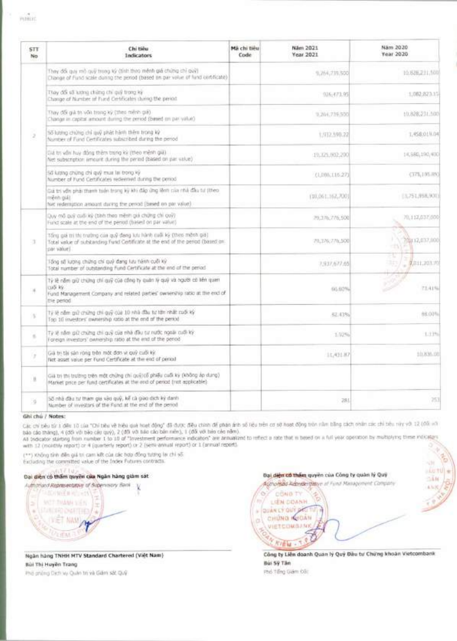| <b>STT</b><br>No | Chi tiêu<br>Indicators                                                                                                                                                            | Má chi tiêu<br>Code | Näm 2021<br>Year 2021 | Nam 2020<br>Year 2020 |
|------------------|-----------------------------------------------------------------------------------------------------------------------------------------------------------------------------------|---------------------|-----------------------|-----------------------|
|                  | They đổi quy mô quỹ trong ký (tính theo mênh giá chứng chỉ quỹ)<br>Change of Fund scale dunng the genod (based on par value of fund corbficate)                                   |                     | 9, 264, 239, 500      | 10.828.211.500        |
|                  | Thay dis so king ching chi gui trong ky<br>Change of Number of Fund Certificates cluring the period.                                                                              |                     | 926-173.95            | 1,062,823.15          |
|                  | They difk guil to von trong ký (theo mêrio giá).<br>Change in capital amount during the period (based on par value).                                                              |                     | 9,204,739,500         | 10.828,231,500        |
| x                | 55 lượng chứng chi quỹ phát hành thêm trong kỳ<br>Number of Fund Certificates subscribed during the period                                                                        |                     | 1,932,590.22          | 1.458.01 U.DA         |
|                  | Giá trị vấn hay đồng thêm trung kỳ (theo mênh giá).<br>Net subscription amount during the period (based on par value)                                                             |                     | 19.125.002.200        | 14,580,190,400        |
|                  | 56 lượng chúng chỉ quỹ mùi tại trong kỳ<br>Number of Fund Certificates redeemed during the period.                                                                                |                     | (1,005,116.27)        | (375, 195.85)         |
|                  | Giá trí vớn phái thanh tuần trong kỳ khi đắp ứng lênh của nhà đầu từ (theo<br>ing main<br>hat redemption amount during the cented (based on par value).                           |                     | 110,061,162,7001      | [3,751,958,900]       |
|                  | Duy mô quỹ cuối kỳ (tính theo mènh giá chứng chi quý)<br>Fund scale at the end of the penud (based on par value)                                                                  |                     | 79.176.776.500        | 70,112,037,000        |
| T.               | Tổng giá trí thì trưởng cần quỹ đong lưu hành cuối kỳ (theo mộnh gia)<br>Total value of substanding Fund Certificate at the end of the period (based on<br>par value).            |                     | 79,176,776,500        | 200112,037,000<br>-13 |
|                  | Tổng số lượng chứng chi quỷ đang lưu tiếnh cuối kỳ<br>Total number of outstanding fund Certificate at the end of the period-                                                      |                     | 2,937,677.65          | 3b<br>2,011,203.00    |
| ×                | Tý lệ năm giữ chứng chỉ quỹ của công ty quân lý quỹ và người có liên quan<br>CUO KV.<br>Fund Management Company and related parties' ownership ratio at the end of<br>the period. |                     | 66.60%                | 73.41%                |
| ÷                | Tế lễ cầm giữ chứng chi quỹ của 10 nhà đầu từ tân nhất cuối ký<br>Top 10 investors' mimership ratio at the end of the period                                                      |                     | 52.43%                | 88.00%                |
| s.               | Tý lệ năm giữ chứng chỉ quỹ của nhà đầu tự nước ngoài cuối ký:<br>Foreign investors' ownership ratio at the and of the period-                                                    |                     | 1,92%                 | 1.13%                 |
| ×                | Già trị thi sản rông trên một đơn vì quỹ cuối kỳ.<br>Not asset value per l'und Certificate at the end of period                                                                   |                     | 11,421.87             | 10,835,007            |
| y,               | Già trị thị trường trên một chứng chỉ quỹ/cổ phiếu cuối kỳ (không áp dụng)<br>Market price per fund certificates at the end of period (not applicable).                           |                     |                       |                       |
| 56               | 55 nhà đầu tư tham gia vào quỹ, kế cả giao dịch ký danh<br>Number of investors of the Fund at the end of the period                                                               |                     | 281                   | 253                   |

#### **Ghi cha / Notes:**

Các chi bêu từ 1 dên 10 của "Chi bêu về hiệu quá hoạt động" đã được điệu chinh dễ phạn ánh số liêu trên cơ sơ hoạt dộng trên năm bằng cách nhân các chỉ tiêu này với 12 (đối với

báo cáo tháng), 4 (dối với báo cáu quý), 2 (đỡ với báo cáo bán niên), 1 (đỡ với trìn cáo năm).<br>Al trocator stárting from number 1 to 10 df "Tovestment performance indicators" are annualized to inflect o rate that in based with 12 (monthly report) or 4 (quarterly report) or 2 (semi-annual report) or 1 (annual report). ñ,

(\*\*) Không tinh điền giả tri cam kết của các hợp đồng tương lai chi số.

Excluding the committed value of the Index Futures contracts.

## **Dal dien** cd **them quyen Cita Ngan hang Om sat**

Authorised Representative of Supervisory Bank **コミロイ WEED トロンモス**  $\leq$   $\frac{1}{\pi}$  ,  $\frac{1}{\pi}$  ,  $\frac{1}{\pi}$  ,  $\frac{1}{\pi}$  ,  $\frac{1}{\pi}$  ,  $\frac{1}{\pi}$  ,  $\frac{1}{\pi}$  ,  $\frac{1}{\pi}$  ,  $\frac{1}{\pi}$  ,  $\frac{1}{\pi}$  ,  $\frac{1}{\pi}$  ,  $\frac{1}{\pi}$  ,  $\frac{1}{\pi}$  ,  $\frac{1}{\pi}$  ,  $\frac{1}{\pi}$  ,  $\frac{1}{\pi}$  ,  $\frac{1}{\$  $(1257, \text{MAD})$ V::,,..*?* , ULI *-* A*.9* 

**Ngan hang TNHH MTV Standard Chartered (Viet Nam) Bid Thi Huyen Trang** 

Phd phong Dich vu Quan tri va Giarn sat Quy

 $|1.0110|$ Bại **d<del>iện có thầm</del> quy**ên của Công ty quản lý Quý 1616 thorised Adamser plays of Fund Management Company CoNe TY  $O<sub>2</sub>$ LIEN DOANH QUANLY QUY DELITY CHUNG **IQIDAN** \75:0VIETCOMBANK **NIEM-**

Công ty Liên doanh Quan Iy Quy Dâu tu Chung khoan Vietcombank **Bid Sy Tan**  Phd Tong Giam Doc

-156

43480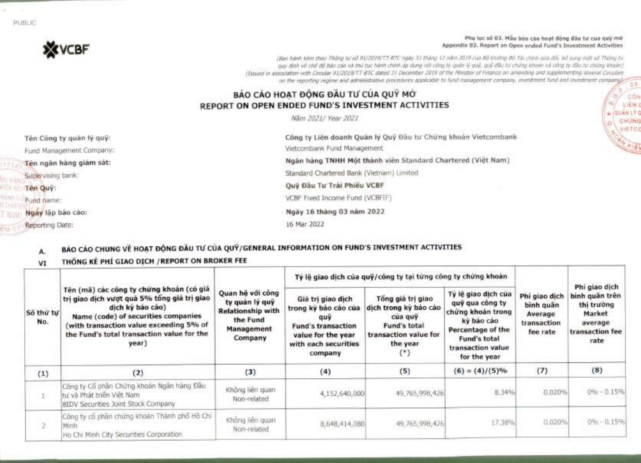#### Phu luc so 03. Mau bac cao host dong dau tư của quỹ mớ Appendix 03. Report on Open ended Fund's Investment Activities

9

**\*** QUAN

CON **LIEN C** 

VIETCO

(Ban hanh kern then Thong W*.* s5 91/2019777-B7C ngay 31 thang 12 nam 2019 ct.ia BO trirdng Bo Tai chinh sad crOi; b6 sung mot so Thong to quy dinh vệ chế độ bảo cáo và thủ tục hành chinh áp dụng với công ty quân lý quỹ, quỹ đầu tư chúng khoản và công ty đầu tư chúng khoản). (Issued in association with Circular 91/2019/TT-B7C dated 31 December 2019 of the Minister of Finance on amending and supplementing several Circulars on the reporting regime and administrative procedures applicable to fund management company, investment fund and investment company)

# **BÁO CÁO HOAT ĐỒNG ĐẦU TƯ CỦA QUÝ MỚ REPORT ON OPEN ENDED FUND'S INVESTMENT ACTIVITIES**

Nam 2021/ Year 2021

Ten Cong ty quan ly quy: Fund Management Company: **Ten ngan hang giam sat:** Supervising bank: **Ten Quy:** Fund name: **Ngay lap bao cao:**  Reporting Date: Công ty Liên doanh Quân lý Quỹ Đầu tư Chứng khoản Vietcombank Vietcombank Fund Management **Ngan hang TNHH Một thành viên Standard Chartered (Việt Nam)** Standard Chartered Bank (Vietnam) Limited Quy Đầu Tư Trái Phiếu VCBF **VCBF** Fixed Income Fund (VCBFIF) **Ngay 16 thang 03 nam 2022**  16 Mar 2022

# **A. BAO CAO CHUNG \ft HOAT DOG DAU CUA QUY/GENERAL INFORMATION ON FUND'S INVESTMENT ACTIVITIES**

#### **THÔNG KẾ PHÍ GIAO DỊCH / REPORT ON BROKER FEE** VI

|                  |                                                                                                                                                                                                                                                      |                                                                                                     | Tỷ lệ giao dịch của quỹ/công ty tại từng công ty chứng khoán                                                                           |                                                                                                            |                                                                                                                                                     |                                                                  |                                                                                               |
|------------------|------------------------------------------------------------------------------------------------------------------------------------------------------------------------------------------------------------------------------------------------------|-----------------------------------------------------------------------------------------------------|----------------------------------------------------------------------------------------------------------------------------------------|------------------------------------------------------------------------------------------------------------|-----------------------------------------------------------------------------------------------------------------------------------------------------|------------------------------------------------------------------|-----------------------------------------------------------------------------------------------|
| Số thứ tư<br>No. | Tên (mã) các công ty chứng khoán (có giá<br>trị giao dịch vượt quá 5% tổng giá trị giao<br>dịch kỳ báo cáo)<br>Name (code) of securities companies<br>(with transaction value exceeding 5% of<br>the Fund's total transaction value for the<br>year) | Quan hè với công<br>ty quản lý quỹ<br><b>Relationship with</b><br>the Fund<br>Management<br>Company | Giá trị giao dịch<br>trong kỳ bảo cáo của<br>quy<br><b>Fund's transaction</b><br>value for the year<br>with each securities<br>company | Tổng giá trị giao<br>dịch trong kỳ bảo cáo<br>cua quy<br>Fund's total<br>transaction value for<br>the year | Tỷ lệ giao dịch của<br>quỹ qua công ty<br>chứng khoán trong<br>ký báo cáo<br>Percentage of the<br>Fund's total<br>transaction value<br>for the year | Phi giao dich<br>bình quân<br>Average<br>transaction<br>fee rate | Phi giao dich<br>binh quân trên<br>thi trường<br>Market<br>average<br>transaction fee<br>rate |
| (1)              | (2)                                                                                                                                                                                                                                                  | (3)                                                                                                 | (4)                                                                                                                                    | (5)                                                                                                        | $(6) = (4)/(5)\%$                                                                                                                                   | (7)                                                              | (8)                                                                                           |
|                  | Công ty Cổ phân Chứng khoản Ngân hàng Đầu<br>tu và Phát triển Việt Nam<br><b>BIDV Securities Joint Stock Company</b>                                                                                                                                 | Không liên quan<br>Non-related                                                                      | 4,152,640,000                                                                                                                          | 49,765,998,426                                                                                             | 8.34%                                                                                                                                               | 0.020%                                                           | $0\% - 0.15\%$                                                                                |
| $\mathfrak{D}$   | Công ty cổ phân chứng khoán Thành phố Hồ Chí<br>Minh<br>Ho Chi Minh City Securities Corporation                                                                                                                                                      | Không liên quan<br>Non-related                                                                      | 8,648,414,080                                                                                                                          | 49,765,998,426                                                                                             | 17.38%                                                                                                                                              | 0.020%                                                           | $0\% - 0.15\%$                                                                                |

PUBLIC

**XVCBF**